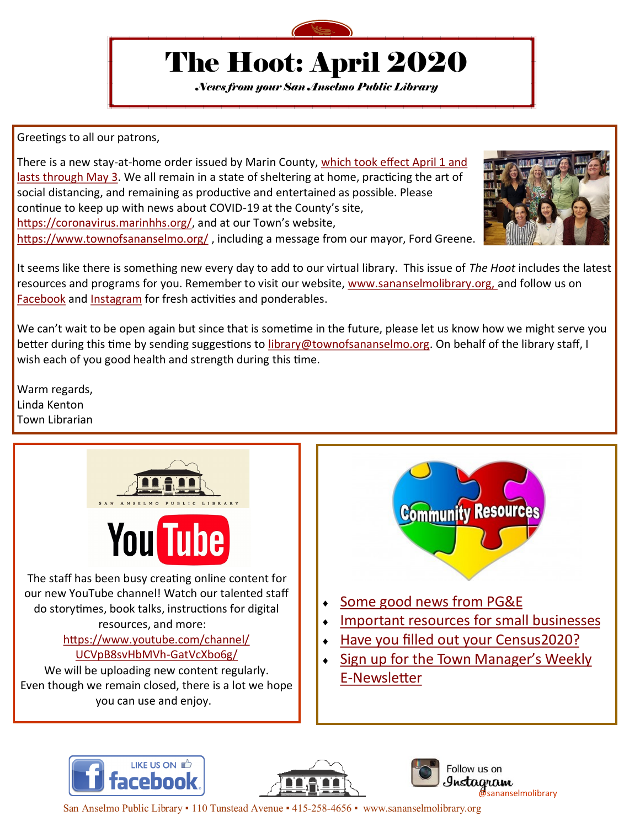

# The Hoot: April 2020

*News from your San Anselmo Public Library*

Greetings to all our patrons,

There is a new stay-at-home order issued by Marin County, [which took effect April 1 and](https://coronavirus.marinhhs.org/sites/default/files/2020-03/marin_final-superseding-shelter-in-place-order.pdf)  [lasts through May 3.](https://coronavirus.marinhhs.org/sites/default/files/2020-03/marin_final-superseding-shelter-in-place-order.pdf) We all remain in a state of sheltering at home, practicing the art of social distancing, and remaining as productive and entertained as possible. Please continue to keep up with news about COVID-19 at the County's site, https://coronavirus.marinhhs.org/, and at our Town's website, <https://www.townofsananselmo.org/>, including a message from our mayor, Ford Greene.



It seems like there is something new every day to add to our virtual library. This issue of *The Hoot* includes the latest resources and programs for you. Remember to visit our website, [www.sananselmolibrary.org, a](https://www.townofsananselmo.org/133/Library)nd follow us on [Facebook](https://www.facebook.com/sananselmolibrary) and [Instagram](https://www.instagram.com/sananselmolibrary/) for fresh activities and ponderables.

We can't wait to be open again but since that is sometime in the future, please let us know how we might serve you better during this time by sending suggestions to *library@townofsananselmo.org*. On behalf of the library staff, I wish each of you good health and strength during this time.

Warm regards, Linda Kenton Town Librarian



our new YouTube channel! Watch our talented staff do storytimes, book talks, instructions for digital resources, and more:

#### [https://www.youtube.com/channel/](https://www.youtube.com/channel/UCVpB8svHbMVh-GatVcXbo6g/) [UCVpB8svHbMVh](https://www.youtube.com/channel/UCVpB8svHbMVh-GatVcXbo6g/)-GatVcXbo6g/

We will be uploading new content regularly. Even though we remain closed, there is a lot we hope you can use and enjoy.



- [Some good news from PG&E](https://www.pge.com/en/about/newsroom/newsdetails/index.page?title=20200402_pge_residential_customers_will_receive_state-mandated_climate_credit_reducing_april_bills)
- [Important resources for small businesses](https://www.marinsbdc.org/)
- [Have you filled out your Census2020?](https://my2020census.gov/)
- [Sign up for the Town Manager](https://www.townofsananselmo.org/355/Newsletter)'s Weekly E-[Newsletter](https://www.townofsananselmo.org/355/Newsletter)







San Anselmo Public Library • 110 Tunstead Avenue • 415-258-4656 • www.sananselmolibrary.org